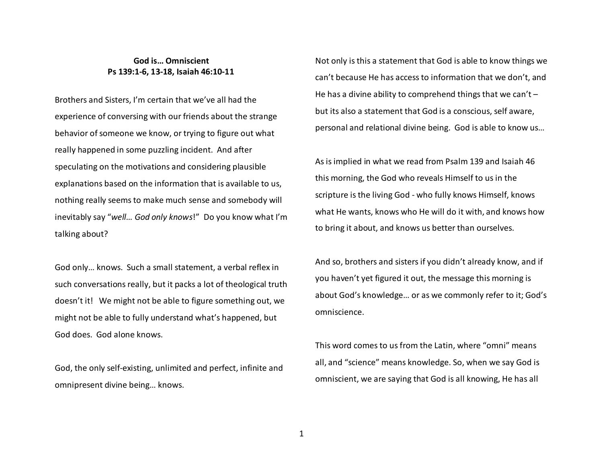## **God is… Omniscient Ps 139:1-6, 13-18, Isaiah 46:10-11**

Brothers and Sisters, I'm certain that we've all had the experience of conversing with our friends about the strange behavior of someone we know, or trying to figure out what really happened in some puzzling incident. And after speculating on the motivations and considering plausible explanations based on the information that is available to us, nothing really seems to make much sense and somebody will inevitably say "*well… God only knows*!" Do you know what I'm talking about?

God only… knows. Such a small statement, a verbal reflex in such conversations really, but it packs a lot of theological truth doesn't it! We might not be able to figure something out, we might not be able to fully understand what's happened, but God does. God alone knows.

God, the only self-existing, unlimited and perfect, infinite and omnipresent divine being… knows.

Not only is this a statement that God is able to know things we can't because He has access to information that we don't, and He has a divine ability to comprehend things that we can't  $$ but its also a statement that God is a conscious, self aware, personal and relational divine being. God is able to know us…

As is implied in what we read from Psalm 139 and Isaiah 46 this morning, the God who reveals Himself to us in the scripture is the living God - who fully knows Himself, knows what He wants, knows who He will do it with, and knows how to bring it about, and knows us better than ourselves.

And so, brothers and sisters if you didn't already know, and if you haven't yet figured it out, the message this morning is about God's knowledge… or as we commonly refer to it; God's omniscience.

This word comes to us from the Latin, where "omni" means all, and "science" means knowledge. So, when we say God is omniscient, we are saying that God is all knowing, He has all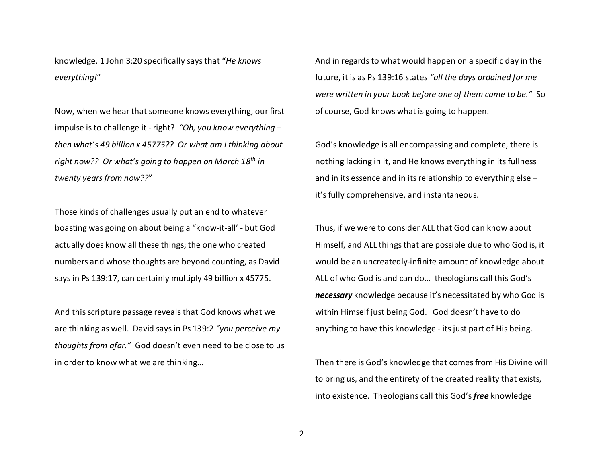knowledge, 1 John 3:20 specifically says that "*He knows everything!*"

Now, when we hear that someone knows everything, our first impulse is to challenge it - right? *"Oh, you know everything – then what's 49 billion x 45775?? Or what am I thinking about right now?? Or what's going to happen on March 18th in twenty years from now??*"

Those kinds of challenges usually put an end to whatever boasting was going on about being a "know-it-all' - but God actually does know all these things; the one who created numbers and whose thoughts are beyond counting, as David says in Ps 139:17, can certainly multiply 49 billion x 45775.

And this scripture passage reveals that God knows what we are thinking as well. David says in Ps 139:2 *"you perceive my thoughts from afar."* God doesn't even need to be close to us in order to know what we are thinking…

And in regards to what would happen on a specific day in the future, it is as Ps 139:16 states *"all the days ordained for me were written in your book before one of them came to be."* So of course, God knows what is going to happen.

God's knowledge is all encompassing and complete, there is nothing lacking in it, and He knows everything in its fullness and in its essence and in its relationship to everything else – it's fully comprehensive, and instantaneous.

Thus, if we were to consider ALL that God can know about Himself, and ALL things that are possible due to who God is, it would be an uncreatedly-infinite amount of knowledge about ALL of who God is and can do… theologians call this God's *necessary* knowledge because it's necessitated by who God is within Himself just being God. God doesn't have to do anything to have this knowledge - its just part of His being.

Then there is God's knowledge that comes from His Divine will to bring us, and the entirety of the created reality that exists, into existence. Theologians call this God's *free* knowledge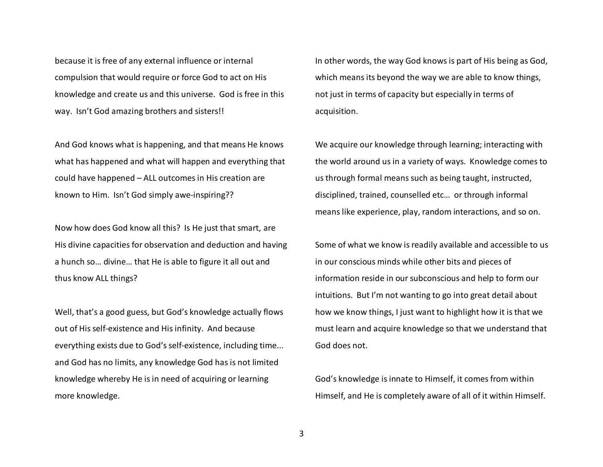because it is free of any external influence or internal compulsion that would require or force God to act on His knowledge and create us and this universe. God is free in this way. Isn't God amazing brothers and sisters!!

And God knows what is happening, and that means He knows what has happened and what will happen and everything that could have happened – ALL outcomes in His creation are known to Him. Isn't God simply awe-inspiring??

Now how does God know all this? Is He just that smart, are His divine capacities for observation and deduction and having a hunch so… divine… that He is able to figure it all out and thus know ALL things?

Well, that's a good guess, but God's knowledge actually flows out of His self-existence and His infinity. And because everything exists due to God's self-existence, including time... and God has no limits, any knowledge God has is not limited knowledge whereby He is in need of acquiring or learning more knowledge.

In other words, the way God knows is part of His being as God, which means its beyond the way we are able to know things, not just in terms of capacity but especially in terms of acquisition.

We acquire our knowledge through learning; interacting with the world around us in a variety of ways. Knowledge comes to us through formal means such as being taught, instructed, disciplined, trained, counselled etc… or through informal means like experience, play, random interactions, and so on.

Some of what we know is readily available and accessible to us in our conscious minds while other bits and pieces of information reside in our subconscious and help to form our intuitions. But I'm not wanting to go into great detail about how we know things, I just want to highlight how it is that we must learn and acquire knowledge so that we understand that God does not.

God's knowledge is innate to Himself, it comes from within Himself, and He is completely aware of all of it within Himself.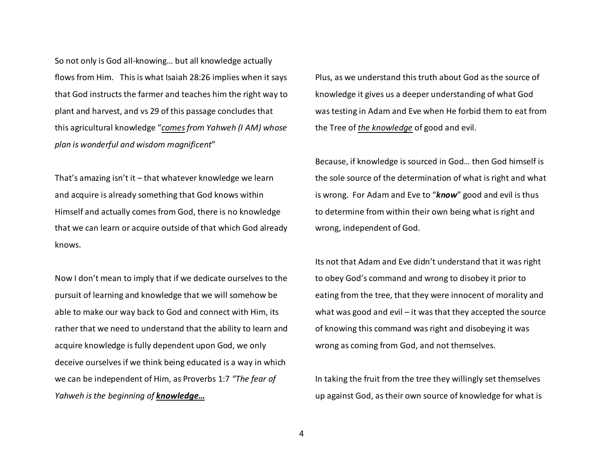So not only is God all-knowing… but all knowledge actually flows from Him. This is what Isaiah 28:26 implies when it says that God instructs the farmer and teaches him the right way to plant and harvest, and vs 29 of this passage concludes that this agricultural knowledge "*comes from Yahweh (I AM) whose plan is wonderful and wisdom magnificent*"

That's amazing isn't it – that whatever knowledge we learn and acquire is already something that God knows within Himself and actually comes from God, there is no knowledge that we can learn or acquire outside of that which God already knows.

Now I don't mean to imply that if we dedicate ourselves to the pursuit of learning and knowledge that we will somehow be able to make our way back to God and connect with Him, its rather that we need to understand that the ability to learn and acquire knowledge is fully dependent upon God, we only deceive ourselves if we think being educated is a way in which we can be independent of Him, as Proverbs 1:7 *"The fear of Yahweh is the beginning of knowledge…*

Plus, as we understand this truth about God as the source of knowledge it gives us a deeper understanding of what God was testing in Adam and Eve when He forbid them to eat from the Tree of *the knowledge* of good and evil.

Because, if knowledge is sourced in God… then God himself is the sole source of the determination of what is right and what is wrong. For Adam and Eve to "*know*" good and evil is thus to determine from within their own being what is right and wrong, independent of God.

Its not that Adam and Eve didn't understand that it was right to obey God's command and wrong to disobey it prior to eating from the tree, that they were innocent of morality and what was good and evil – it was that they accepted the source of knowing this command was right and disobeying it was wrong as coming from God, and not themselves.

In taking the fruit from the tree they willingly set themselves up against God, as their own source of knowledge for what is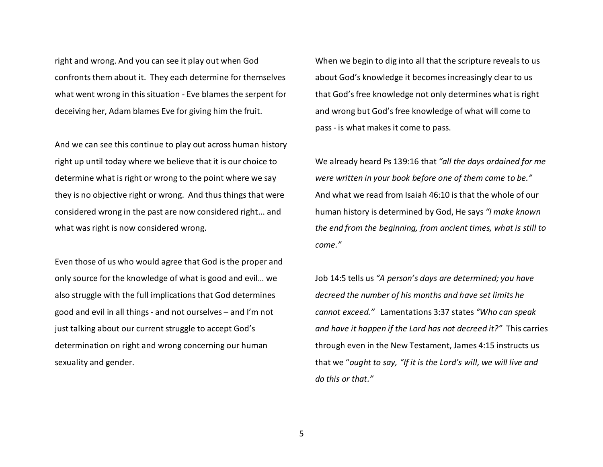right and wrong. And you can see it play out when God confronts them about it. They each determine for themselves what went wrong in this situation - Eve blames the serpent for deceiving her, Adam blames Eve for giving him the fruit.

And we can see this continue to play out across human history right up until today where we believe that it is our choice to determine what is right or wrong to the point where we say they is no objective right or wrong. And thus things that were considered wrong in the past are now considered right... and what was right is now considered wrong.

Even those of us who would agree that God is the proper and only source for the knowledge of what is good and evil… we also struggle with the full implications that God determines good and evil in all things - and not ourselves – and I'm not just talking about our current struggle to accept God's determination on right and wrong concerning our human sexuality and gender.

When we begin to dig into all that the scripture reveals to us about God's knowledge it becomes increasingly clear to us that God's free knowledge not only determines what is right and wrong but God's free knowledge of what will come to pass - is what makes it come to pass.

We already heard Ps 139:16 that *"all the days ordained for me were written in your book before one of them came to be."*And what we read from Isaiah 46:10 is that the whole of our human history is determined by God, He says *"I make known the end from the beginning, from ancient times, what is still to come."* 

Job 14:5 tells us *"A person's days are determined; you have decreed the number of his months and have set limits he cannot exceed."* Lamentations 3:37 states *"Who can speak and have it happen if the Lord has not decreed it?"* This carries through even in the New Testament, James 4:15 instructs us that we "*ought to say, "If it is the Lord's will, we will live and do this or that."*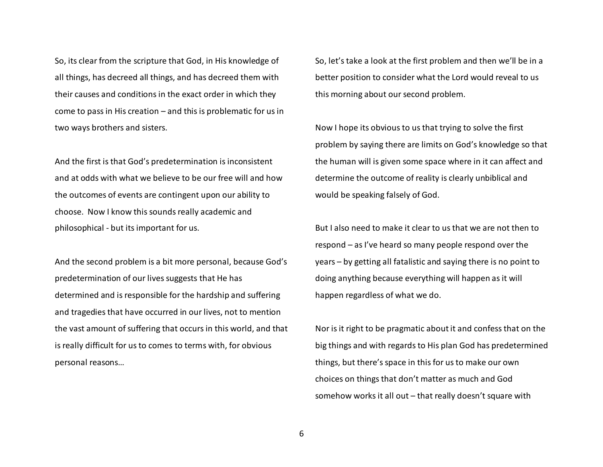So, its clear from the scripture that God, in His knowledge of all things, has decreed all things, and has decreed them with their causes and conditions in the exact order in which they come to pass in His creation – and this is problematic for us in two ways brothers and sisters.

And the first is that God's predetermination is inconsistent and at odds with what we believe to be our free will and how the outcomes of events are contingent upon our ability to choose. Now I know this sounds really academic andphilosophical - but its important for us.

And the second problem is a bit more personal, because God's predetermination of our lives suggests that He has determined and is responsible for the hardship and suffering and tragedies that have occurred in our lives, not to mention the vast amount of suffering that occurs in this world, and that is really difficult for us to comes to terms with, for obvious personal reasons…

So, let's take a look at the first problem and then we'll be in a better position to consider what the Lord would reveal to us this morning about our second problem.

Now I hope its obvious to us that trying to solve the first problem by saying there are limits on God's knowledge so that the human will is given some space where in it can affect and determine the outcome of reality is clearly unbiblical and would be speaking falsely of God.

But I also need to make it clear to us that we are not then to respond – as I've heard so many people respond over the years – by getting all fatalistic and saying there is no point to doing anything because everything will happen as it will happen regardless of what we do.

Nor is it right to be pragmatic about it and confess that on the big things and with regards to His plan God has predetermined things, but there's space in this for us to make our own choices on things that don't matter as much and God somehow works it all out – that really doesn't square with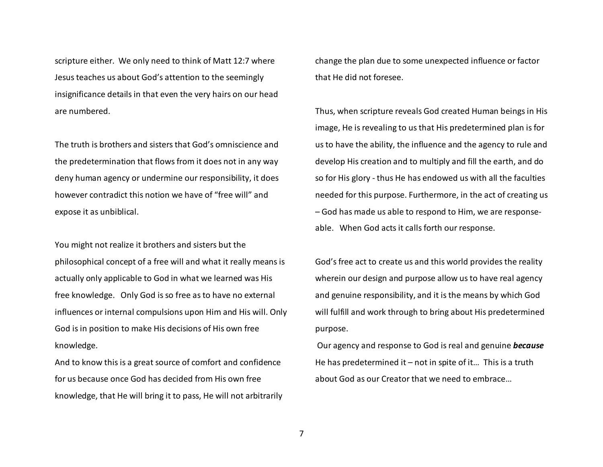scripture either. We only need to think of Matt 12:7 where Jesus teaches us about God's attention to the seemingly insignificance details in that even the very hairs on our head are numbered.

The truth is brothers and sisters that God's omniscience and the predetermination that flows from it does not in any way deny human agency or undermine our responsibility, it does however contradict this notion we have of "free will" and expose it as unbiblical.

You might not realize it brothers and sisters but the philosophical concept of a free will and what it really means is actually only applicable to God in what we learned was His free knowledge. Only God is so free as to have no external influences or internal compulsions upon Him and His will. Only God is in position to make His decisions of His own free knowledge.

And to know this is a great source of comfort and confidence for us because once God has decided from His own free knowledge, that He will bring it to pass, He will not arbitrarily change the plan due to some unexpected influence or factor that He did not foresee.

Thus, when scripture reveals God created Human beings in His image, He is revealing to us that His predetermined plan is for us to have the ability, the influence and the agency to rule and develop His creation and to multiply and fill the earth, and do so for His glory - thus He has endowed us with all the faculties needed for this purpose. Furthermore, in the act of creating us – God has made us able to respond to Him, we are responseable. When God acts it calls forth our response.

God's free act to create us and this world provides the reality wherein our design and purpose allow us to have real agency and genuine responsibility, and it is the means by which God will fulfill and work through to bring about His predetermined purpose.

 Our agency and response to God is real and genuine *because* He has predetermined it  $-$  not in spite of it... This is a truth about God as our Creator that we need to embrace…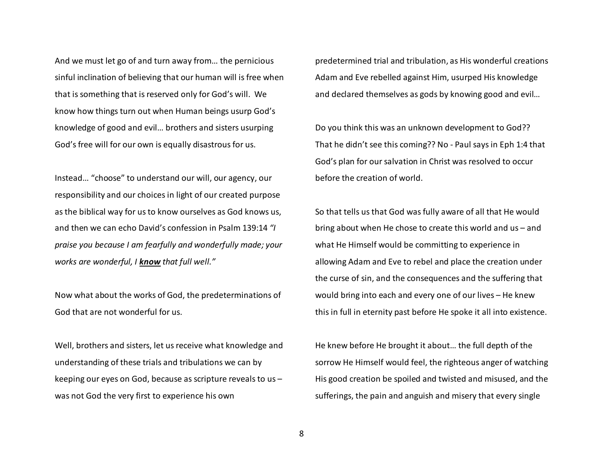And we must let go of and turn away from… the pernicious sinful inclination of believing that our human will is free when that is something that is reserved only for God's will. We know how things turn out when Human beings usurp God's knowledge of good and evil… brothers and sisters usurping God's free will for our own is equally disastrous for us.

Instead… "choose" to understand our will, our agency, our responsibility and our choices in light of our created purpose as the biblical way for us to know ourselves as God knows us, and then we can echo David's confession in Psalm 139:14 *"I praise you because I am fearfully and wonderfully made; your works are wonderful, I know that full well."*

Now what about the works of God, the predeterminations of God that are not wonderful for us.

Well, brothers and sisters, let us receive what knowledge and understanding of these trials and tribulations we can by keeping our eyes on God, because as scripture reveals to us – was not God the very first to experience his own

predetermined trial and tribulation, as His wonderful creations Adam and Eve rebelled against Him, usurped His knowledge and declared themselves as gods by knowing good and evil…

Do you think this was an unknown development to God?? That he didn't see this coming?? No - Paul says in Eph 1:4 that God's plan for our salvation in Christ was resolved to occur before the creation of world.

So that tells us that God was fully aware of all that He would bring about when He chose to create this world and us – and what He Himself would be committing to experience in allowing Adam and Eve to rebel and place the creation under the curse of sin, and the consequences and the suffering that would bring into each and every one of our lives – He knew this in full in eternity past before He spoke it all into existence.

He knew before He brought it about… the full depth of the sorrow He Himself would feel, the righteous anger of watching His good creation be spoiled and twisted and misused, and the sufferings, the pain and anguish and misery that every single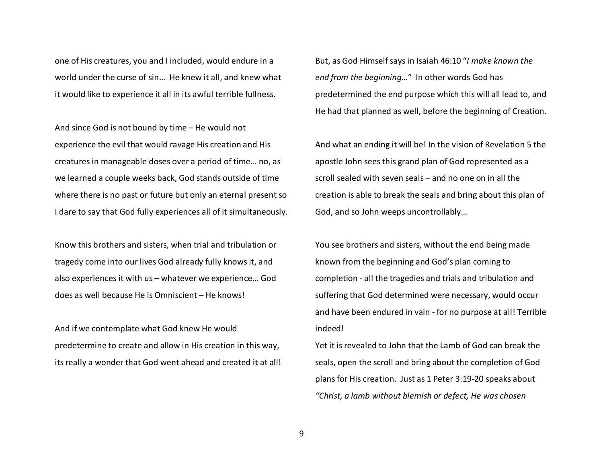one of His creatures, you and I included, would endure in a world under the curse of sin… He knew it all, and knew what it would like to experience it all in its awful terrible fullness.

And since God is not bound by time – He would not experience the evil that would ravage His creation and His creatures in manageable doses over a period of time… no, as we learned a couple weeks back, God stands outside of time where there is no past or future but only an eternal present so I dare to say that God fully experiences all of it simultaneously.

Know this brothers and sisters, when trial and tribulation or tragedy come into our lives God already fully knows it, and also experiences it with us – whatever we experience… God does as well because He is Omniscient – He knows!

And if we contemplate what God knew He would predetermine to create and allow in His creation in this way, its really a wonder that God went ahead and created it at all! But, as God Himself says in Isaiah 46:10 "*I make known the end from the beginning…*" In other words God has predetermined the end purpose which this will all lead to, and He had that planned as well, before the beginning of Creation.

And what an ending it will be! In the vision of Revelation 5 the apostle John sees this grand plan of God represented as a scroll sealed with seven seals – and no one on in all the creation is able to break the seals and bring about this plan of God, and so John weeps uncontrollably…

You see brothers and sisters, without the end being made known from the beginning and God's plan coming to completion - all the tragedies and trials and tribulation and suffering that God determined were necessary, would occur and have been endured in vain - for no purpose at all! Terrible indeed!

Yet it is revealed to John that the Lamb of God can break the seals, open the scroll and bring about the completion of God plans for His creation. Just as 1 Peter 3:19-20 speaks about *"Christ, a lamb without blemish or defect, He was chosen*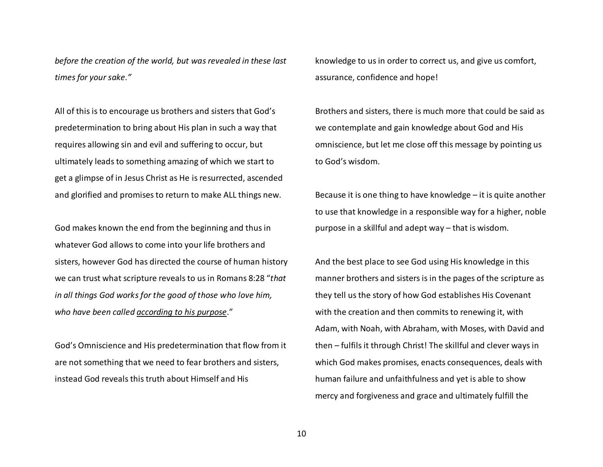*before the creation of the world, but was revealed in these last times for your sake."* 

All of this is to encourage us brothers and sisters that God's predetermination to bring about His plan in such a way that requires allowing sin and evil and suffering to occur, but ultimately leads to something amazing of which we start to get a glimpse of in Jesus Christ as He is resurrected, ascended and glorified and promises to return to make ALL things new.

God makes known the end from the beginning and thus in whatever God allows to come into your life brothers and sisters, however God has directed the course of human history we can trust what scripture reveals to us in Romans 8:28 "*that in all things God works for the good of those who love him, who have been called according to his purpose*."

God's Omniscience and His predetermination that flow from it are not something that we need to fear brothers and sisters, instead God reveals this truth about Himself and His

knowledge to us in order to correct us, and give us comfort, assurance, confidence and hope!

Brothers and sisters, there is much more that could be said as we contemplate and gain knowledge about God and Hisomniscience, but let me close off this message by pointing us to God's wisdom.

Because it is one thing to have knowledge – it is quite another to use that knowledge in a responsible way for a higher, noble purpose in a skillful and adept way – that is wisdom.

And the best place to see God using His knowledge in this manner brothers and sisters is in the pages of the scripture as they tell us the story of how God establishes His Covenant with the creation and then commits to renewing it, with Adam, with Noah, with Abraham, with Moses, with David and then – fulfils it through Christ! The skillful and clever ways in which God makes promises, enacts consequences, deals with human failure and unfaithfulness and yet is able to show mercy and forgiveness and grace and ultimately fulfill the